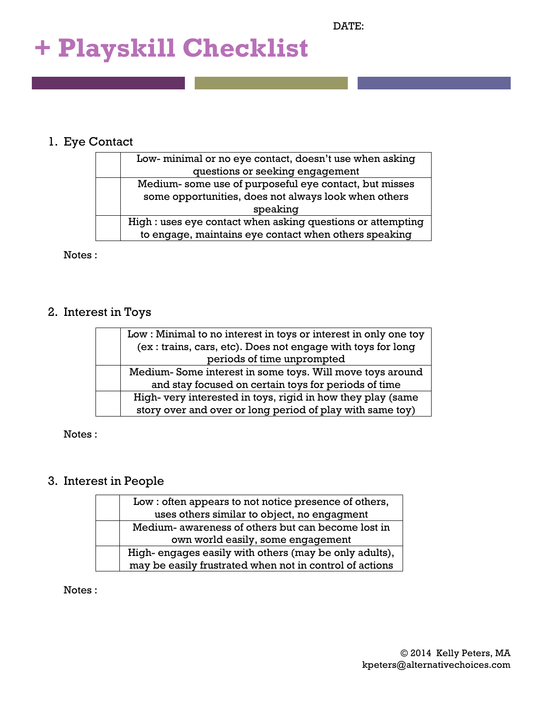# **+ Playskill Checklist**

#### 1. Eye Contact

| Low-minimal or no eye contact, doesn't use when asking      |
|-------------------------------------------------------------|
| questions or seeking engagement                             |
| Medium-some use of purposeful eye contact, but misses       |
| some opportunities, does not always look when others        |
| speaking                                                    |
| High : uses eye contact when asking questions or attempting |
| to engage, maintains eye contact when others speaking       |

Notes :

#### 2. Interest in Toys

| Low: Minimal to no interest in toys or interest in only one toy |
|-----------------------------------------------------------------|
| (ex: trains, cars, etc). Does not engage with toys for long     |
| periods of time unprompted                                      |
| Medium-Some interest in some toys. Will move toys around        |
| and stay focused on certain toys for periods of time            |
| High- very interested in toys, rigid in how they play (same     |
| story over and over or long period of play with same toy)       |

Notes :

### 3. Interest in People

| Low: often appears to not notice presence of others,    |
|---------------------------------------------------------|
| uses others similar to object, no engagment             |
| Medium- awareness of others but can become lost in      |
| own world easily, some engagement                       |
| High-engages easily with others (may be only adults),   |
| may be easily frustrated when not in control of actions |

Notes :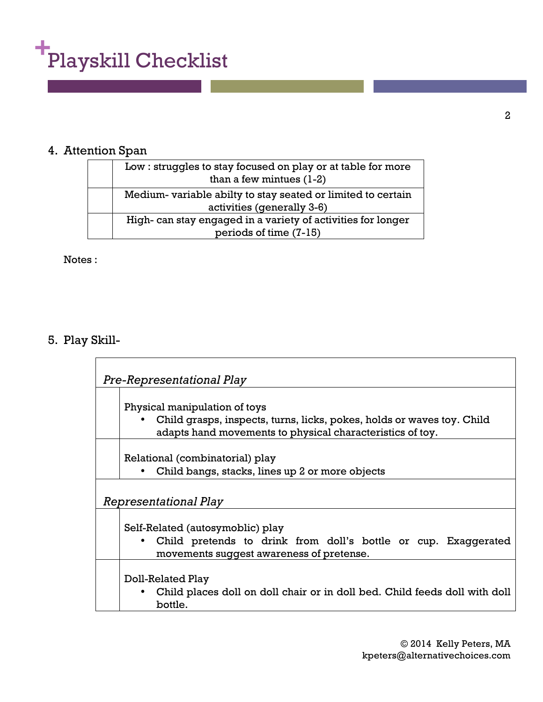

## 4. Attention Span

| Low: struggles to stay focused on play or at table for more<br>than a few mintues $(1-2)$ |
|-------------------------------------------------------------------------------------------|
| Medium-variable abilty to stay seated or limited to certain<br>activities (generally 3-6) |
| High- can stay engaged in a variety of activities for longer<br>periods of time (7-15)    |

Notes :

# 5. Play Skill-

| Pre-Representational Play                                                                                                                           |
|-----------------------------------------------------------------------------------------------------------------------------------------------------|
| Physical manipulation of toys<br>Child grasps, inspects, turns, licks, pokes, holds or waves toy. Child                                             |
| adapts hand movements to physical characteristics of toy.                                                                                           |
| Relational (combinatorial) play<br>Child bangs, stacks, lines up 2 or more objects                                                                  |
| Representational Play                                                                                                                               |
| Self-Related (autosymoblic) play<br>Child pretends to drink from doll's bottle or cup. Exaggerated<br>٠<br>movements suggest awareness of pretense. |
| Doll-Related Play<br>Child places doll on doll chair or in doll bed. Child feeds doll with doll<br>bottle.                                          |

© 2014 Kelly Peters, MA kpeters@alternativechoices.com